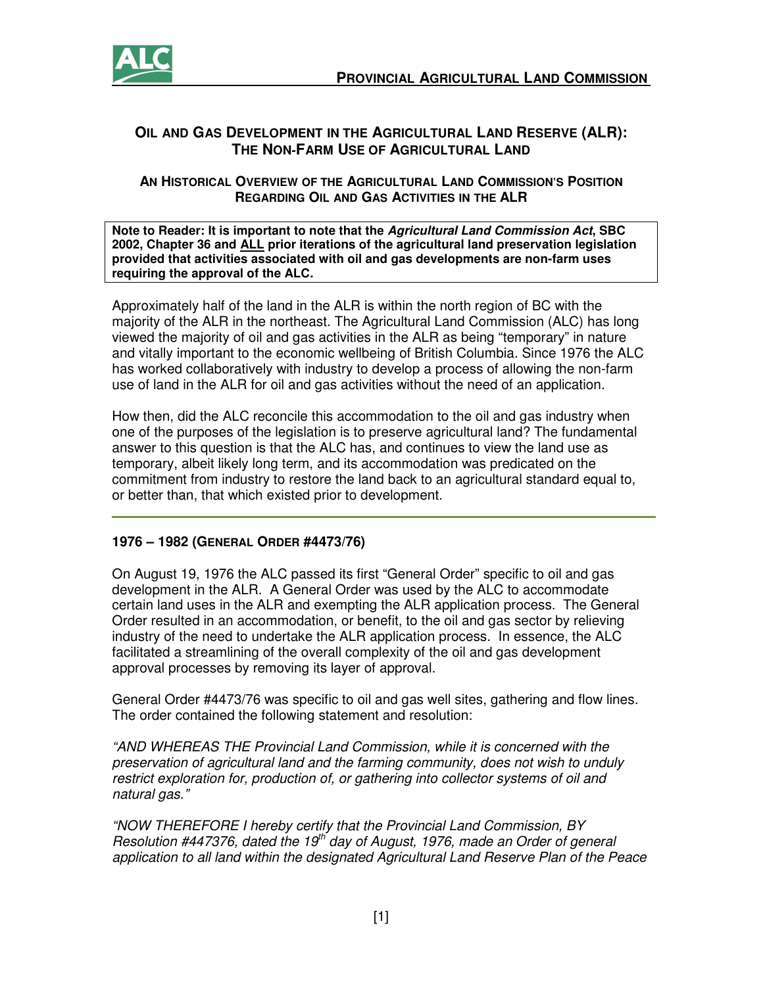

## **OIL AND GAS DEVELOPMENT IN THE AGRICULTURAL LAND RESERVE (ALR): THE NON-FARM USE OF AGRICULTURAL LAND**

### **AN HISTORICAL OVERVIEW OF THE AGRICULTURAL LAND COMMISSION'S POSITION REGARDING OIL AND GAS ACTIVITIES IN THE ALR**

**Note to Reader: It is important to note that the Agricultural Land Commission Act, SBC 2002, Chapter 36 and ALL prior iterations of the agricultural land preservation legislation provided that activities associated with oil and gas developments are non-farm uses requiring the approval of the ALC.** 

Approximately half of the land in the ALR is within the north region of BC with the majority of the ALR in the northeast. The Agricultural Land Commission (ALC) has long viewed the majority of oil and gas activities in the ALR as being "temporary" in nature and vitally important to the economic wellbeing of British Columbia. Since 1976 the ALC has worked collaboratively with industry to develop a process of allowing the non-farm use of land in the ALR for oil and gas activities without the need of an application.

How then, did the ALC reconcile this accommodation to the oil and gas industry when one of the purposes of the legislation is to preserve agricultural land? The fundamental answer to this question is that the ALC has, and continues to view the land use as temporary, albeit likely long term, and its accommodation was predicated on the commitment from industry to restore the land back to an agricultural standard equal to, or better than, that which existed prior to development.

# **1976 – 1982 (GENERAL ORDER #4473/76)**

On August 19, 1976 the ALC passed its first "General Order" specific to oil and gas development in the ALR. A General Order was used by the ALC to accommodate certain land uses in the ALR and exempting the ALR application process. The General Order resulted in an accommodation, or benefit, to the oil and gas sector by relieving industry of the need to undertake the ALR application process. In essence, the ALC facilitated a streamlining of the overall complexity of the oil and gas development approval processes by removing its layer of approval.

General Order #4473/76 was specific to oil and gas well sites, gathering and flow lines. The order contained the following statement and resolution:

"AND WHEREAS THE Provincial Land Commission, while it is concerned with the preservation of agricultural land and the farming community, does not wish to unduly restrict exploration for, production of, or gathering into collector systems of oil and natural gas."

"NOW THEREFORE I hereby certify that the Provincial Land Commission, BY Resolution #447376, dated the 19<sup>th</sup> day of August, 1976, made an Order of general application to all land within the designated Agricultural Land Reserve Plan of the Peace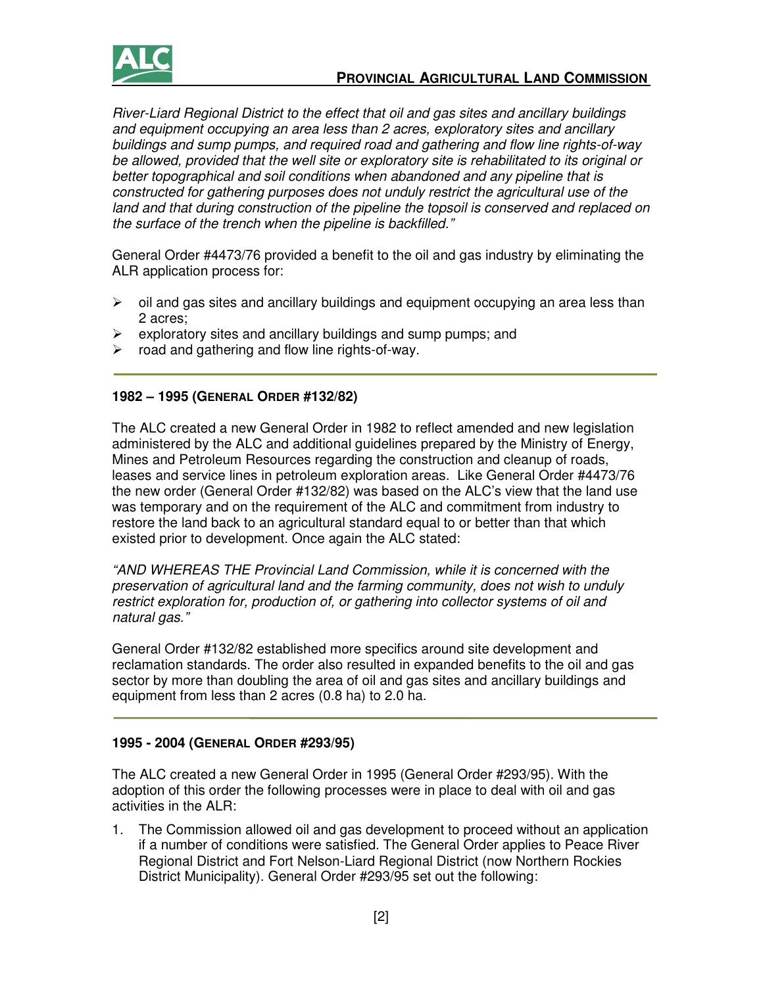

River-Liard Regional District to the effect that oil and gas sites and ancillary buildings and equipment occupying an area less than 2 acres, exploratory sites and ancillary buildings and sump pumps, and required road and gathering and flow line rights-of-way be allowed, provided that the well site or exploratory site is rehabilitated to its original or better topographical and soil conditions when abandoned and any pipeline that is constructed for gathering purposes does not unduly restrict the agricultural use of the land and that during construction of the pipeline the topsoil is conserved and replaced on the surface of the trench when the pipeline is backfilled."

General Order #4473/76 provided a benefit to the oil and gas industry by eliminating the ALR application process for:

- $\triangleright$  oil and gas sites and ancillary buildings and equipment occupying an area less than 2 acres;
- $\triangleright$  exploratory sites and ancillary buildings and sump pumps; and
- $\triangleright$  road and gathering and flow line rights-of-way.

## **1982 – 1995 (GENERAL ORDER #132/82)**

The ALC created a new General Order in 1982 to reflect amended and new legislation administered by the ALC and additional guidelines prepared by the Ministry of Energy, Mines and Petroleum Resources regarding the construction and cleanup of roads, leases and service lines in petroleum exploration areas. Like General Order #4473/76 the new order (General Order #132/82) was based on the ALC's view that the land use was temporary and on the requirement of the ALC and commitment from industry to restore the land back to an agricultural standard equal to or better than that which existed prior to development. Once again the ALC stated:

"AND WHEREAS THE Provincial Land Commission, while it is concerned with the preservation of agricultural land and the farming community, does not wish to unduly restrict exploration for, production of, or gathering into collector systems of oil and natural gas."

General Order #132/82 established more specifics around site development and reclamation standards. The order also resulted in expanded benefits to the oil and gas sector by more than doubling the area of oil and gas sites and ancillary buildings and equipment from less than 2 acres (0.8 ha) to 2.0 ha.

### **1995 - 2004 (GENERAL ORDER #293/95)**

The ALC created a new General Order in 1995 (General Order #293/95). With the adoption of this order the following processes were in place to deal with oil and gas activities in the ALR:

1. The Commission allowed oil and gas development to proceed without an application if a number of conditions were satisfied. The General Order applies to Peace River Regional District and Fort Nelson-Liard Regional District (now Northern Rockies District Municipality). General Order #293/95 set out the following: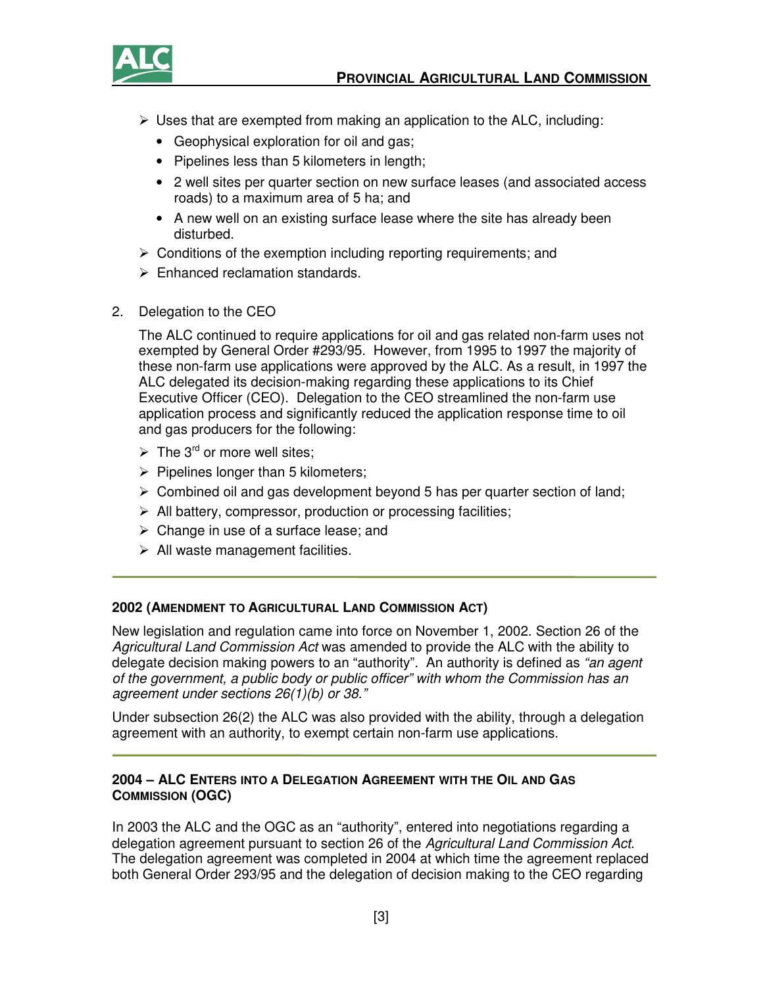

- $\triangleright$  Uses that are exempted from making an application to the ALC, including:
	- Geophysical exploration for oil and gas;
	- Pipelines less than 5 kilometers in length;
	- 2 well sites per quarter section on new surface leases (and associated access roads) to a maximum area of 5 ha; and
	- A new well on an existing surface lease where the site has already been disturbed.
- $\triangleright$  Conditions of the exemption including reporting requirements; and
- $\triangleright$  Enhanced reclamation standards.
- 2. Delegation to the CEO

The ALC continued to require applications for oil and gas related non-farm uses not exempted by General Order #293/95. However, from 1995 to 1997 the majority of these non-farm use applications were approved by the ALC. As a result, in 1997 the ALC delegated its decision-making regarding these applications to its Chief Executive Officer (CEO). Delegation to the CEO streamlined the non-farm use application process and significantly reduced the application response time to oil and gas producers for the following:

- $\triangleright$  The 3<sup>rd</sup> or more well sites;
- $\triangleright$  Pipelines longer than 5 kilometers;
- $\triangleright$  Combined oil and gas development beyond 5 has per quarter section of land;
- $\triangleright$  All battery, compressor, production or processing facilities;
- $\triangleright$  Change in use of a surface lease; and
- $\triangleright$  All waste management facilities.

### **2002 (AMENDMENT TO AGRICULTURAL LAND COMMISSION ACT)**

New legislation and regulation came into force on November 1, 2002. Section 26 of the Agricultural Land Commission Act was amended to provide the ALC with the ability to delegate decision making powers to an "authority". An authority is defined as "an agent of the government, a public body or public officer" with whom the Commission has an agreement under sections 26(1)(b) or 38."

Under subsection 26(2) the ALC was also provided with the ability, through a delegation agreement with an authority, to exempt certain non-farm use applications.

### **2004 – ALC ENTERS INTO A DELEGATION AGREEMENT WITH THE OIL AND GAS COMMISSION (OGC)**

In 2003 the ALC and the OGC as an "authority", entered into negotiations regarding a delegation agreement pursuant to section 26 of the Agricultural Land Commission Act. The delegation agreement was completed in 2004 at which time the agreement replaced both General Order 293/95 and the delegation of decision making to the CEO regarding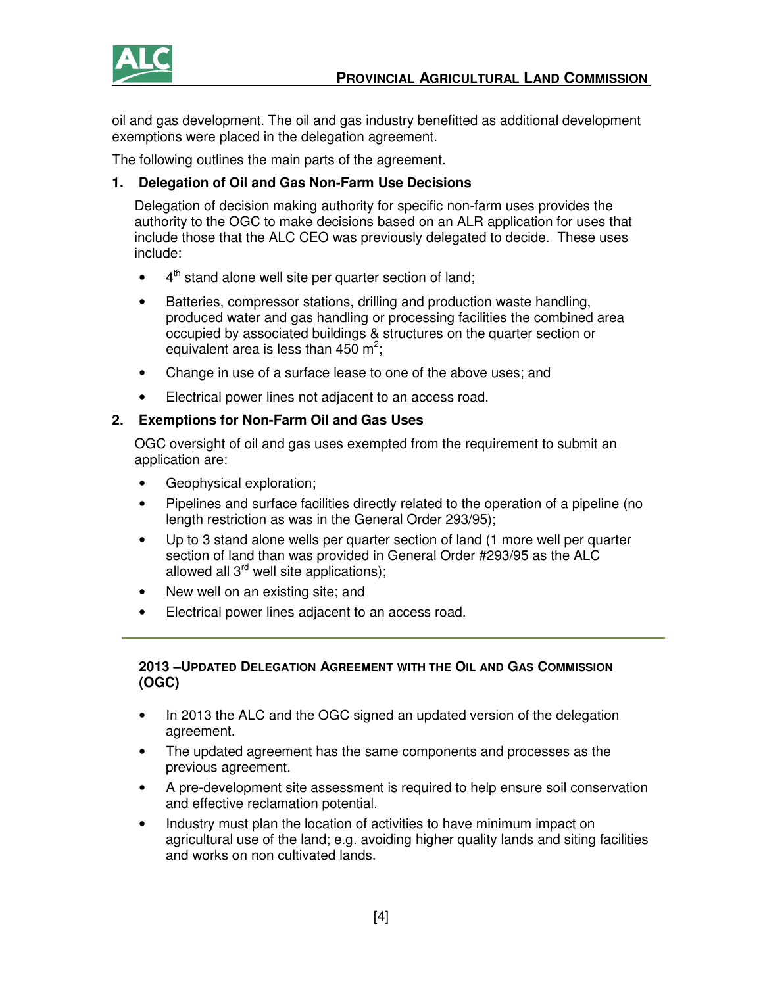

oil and gas development. The oil and gas industry benefitted as additional development exemptions were placed in the delegation agreement.

The following outlines the main parts of the agreement.

# **1. Delegation of Oil and Gas Non-Farm Use Decisions**

Delegation of decision making authority for specific non-farm uses provides the authority to the OGC to make decisions based on an ALR application for uses that include those that the ALC CEO was previously delegated to decide. These uses include:

- $4<sup>th</sup>$  stand alone well site per quarter section of land;
- Batteries, compressor stations, drilling and production waste handling, produced water and gas handling or processing facilities the combined area occupied by associated buildings & structures on the quarter section or equivalent area is less than 450 m<sup>2</sup>;
- Change in use of a surface lease to one of the above uses; and
- Electrical power lines not adjacent to an access road.

## **2. Exemptions for Non-Farm Oil and Gas Uses**

OGC oversight of oil and gas uses exempted from the requirement to submit an application are:

- Geophysical exploration;
- Pipelines and surface facilities directly related to the operation of a pipeline (no length restriction as was in the General Order 293/95);
- Up to 3 stand alone wells per quarter section of land (1 more well per quarter section of land than was provided in General Order #293/95 as the ALC allowed all  $3^{rd}$  well site applications);
- New well on an existing site; and
- Electrical power lines adjacent to an access road.

## **2013 –UPDATED DELEGATION AGREEMENT WITH THE OIL AND GAS COMMISSION (OGC)**

- In 2013 the ALC and the OGC signed an updated version of the delegation agreement.
- The updated agreement has the same components and processes as the previous agreement.
- A pre-development site assessment is required to help ensure soil conservation and effective reclamation potential.
- Industry must plan the location of activities to have minimum impact on agricultural use of the land; e.g. avoiding higher quality lands and siting facilities and works on non cultivated lands.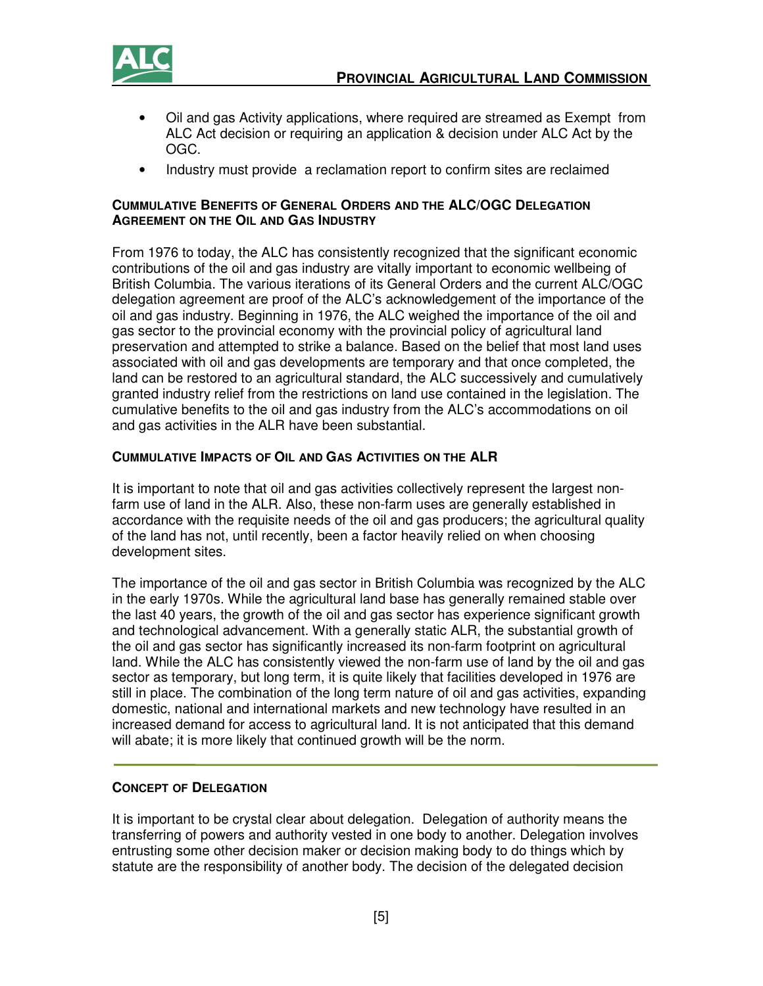

- Oil and gas Activity applications, where required are streamed as Exempt from ALC Act decision or requiring an application & decision under ALC Act by the OGC.
- Industry must provide a reclamation report to confirm sites are reclaimed

#### **CUMMULATIVE BENEFITS OF GENERAL ORDERS AND THE ALC/OGC DELEGATION AGREEMENT ON THE OIL AND GAS INDUSTRY**

From 1976 to today, the ALC has consistently recognized that the significant economic contributions of the oil and gas industry are vitally important to economic wellbeing of British Columbia. The various iterations of its General Orders and the current ALC/OGC delegation agreement are proof of the ALC's acknowledgement of the importance of the oil and gas industry. Beginning in 1976, the ALC weighed the importance of the oil and gas sector to the provincial economy with the provincial policy of agricultural land preservation and attempted to strike a balance. Based on the belief that most land uses associated with oil and gas developments are temporary and that once completed, the land can be restored to an agricultural standard, the ALC successively and cumulatively granted industry relief from the restrictions on land use contained in the legislation. The cumulative benefits to the oil and gas industry from the ALC's accommodations on oil and gas activities in the ALR have been substantial.

### **CUMMULATIVE IMPACTS OF OIL AND GAS ACTIVITIES ON THE ALR**

It is important to note that oil and gas activities collectively represent the largest nonfarm use of land in the ALR. Also, these non-farm uses are generally established in accordance with the requisite needs of the oil and gas producers; the agricultural quality of the land has not, until recently, been a factor heavily relied on when choosing development sites.

The importance of the oil and gas sector in British Columbia was recognized by the ALC in the early 1970s. While the agricultural land base has generally remained stable over the last 40 years, the growth of the oil and gas sector has experience significant growth and technological advancement. With a generally static ALR, the substantial growth of the oil and gas sector has significantly increased its non-farm footprint on agricultural land. While the ALC has consistently viewed the non-farm use of land by the oil and gas sector as temporary, but long term, it is quite likely that facilities developed in 1976 are still in place. The combination of the long term nature of oil and gas activities, expanding domestic, national and international markets and new technology have resulted in an increased demand for access to agricultural land. It is not anticipated that this demand will abate; it is more likely that continued growth will be the norm.

#### **CONCEPT OF DELEGATION**

It is important to be crystal clear about delegation. Delegation of authority means the transferring of powers and authority vested in one body to another. Delegation involves entrusting some other decision maker or decision making body to do things which by statute are the responsibility of another body. The decision of the delegated decision